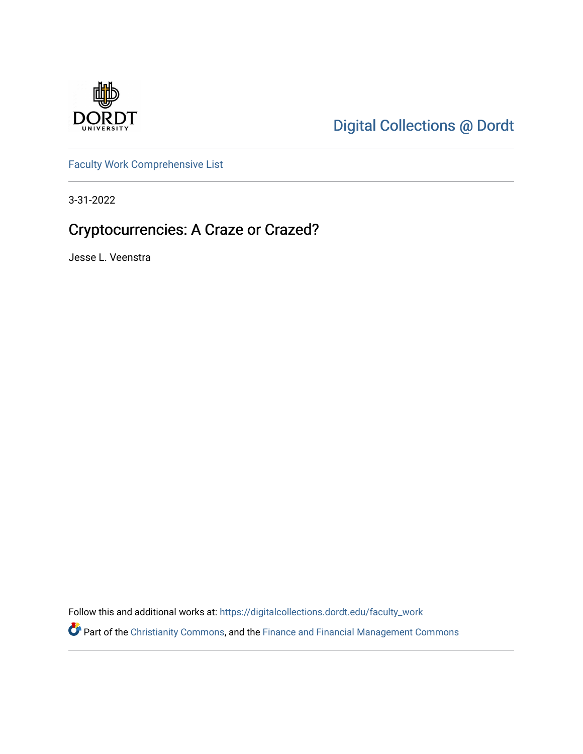

[Digital Collections @ Dordt](https://digitalcollections.dordt.edu/) 

[Faculty Work Comprehensive List](https://digitalcollections.dordt.edu/faculty_work)

3-31-2022

# Cryptocurrencies: A Craze or Crazed?

Jesse L. Veenstra

Follow this and additional works at: [https://digitalcollections.dordt.edu/faculty\\_work](https://digitalcollections.dordt.edu/faculty_work?utm_source=digitalcollections.dordt.edu%2Ffaculty_work%2F1378&utm_medium=PDF&utm_campaign=PDFCoverPages) 

Part of the [Christianity Commons,](http://network.bepress.com/hgg/discipline/1181?utm_source=digitalcollections.dordt.edu%2Ffaculty_work%2F1378&utm_medium=PDF&utm_campaign=PDFCoverPages) and the [Finance and Financial Management Commons](http://network.bepress.com/hgg/discipline/631?utm_source=digitalcollections.dordt.edu%2Ffaculty_work%2F1378&utm_medium=PDF&utm_campaign=PDFCoverPages)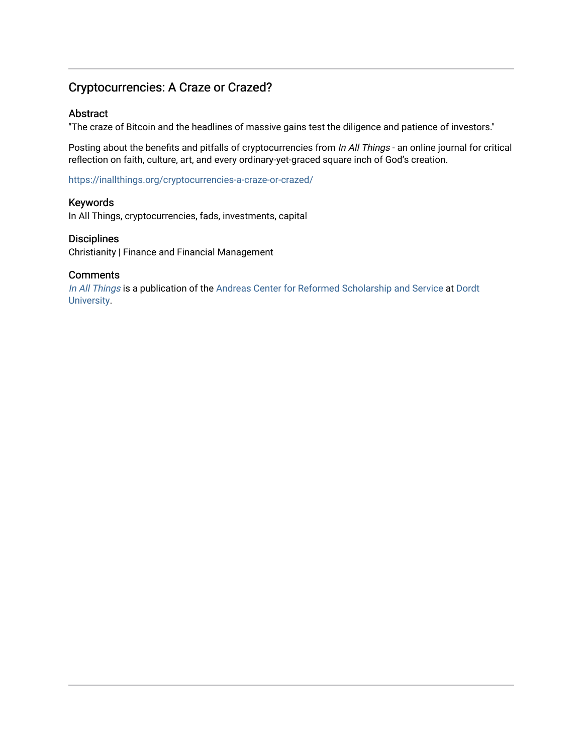# Cryptocurrencies: A Craze or Crazed?

### Abstract

"The craze of Bitcoin and the headlines of massive gains test the diligence and patience of investors."

Posting about the benefits and pitfalls of cryptocurrencies from In All Things - an online journal for critical reflection on faith, culture, art, and every ordinary-yet-graced square inch of God's creation.

<https://inallthings.org/cryptocurrencies-a-craze-or-crazed/>

### Keywords

In All Things, cryptocurrencies, fads, investments, capital

### **Disciplines**

Christianity | Finance and Financial Management

### **Comments**

[In All Things](http://inallthings.org/) is a publication of the [Andreas Center for Reformed Scholarship and Service](http://www.dordt.edu/services_support/andreas_center/) at Dordt [University](http://www.dordt.edu/).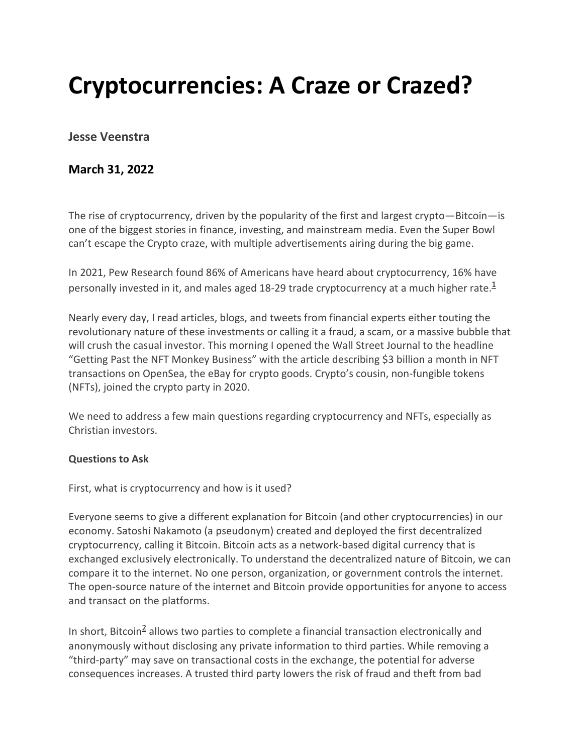# **Cryptocurrencies: A Craze or Crazed?**

# **[Jesse Veenstra](https://inallthings.org/author/jesse-veenstra/)**

# **March 31, 2022**

The rise of cryptocurrency, driven by the popularity of the first and largest crypto—Bitcoin—is one of the biggest stories in finance, investing, and mainstream media. Even the Super Bowl can't escape the Crypto craze, with multiple advertisements airing during the big game.

In 2021, Pew Research found 86% of Americans have heard about cryptocurrency, 16% have personally invested in it, and males aged 18-29 trade cryptocurrency at a much higher rate. $1/2$ 

Nearly every day, I read articles, blogs, and tweets from financial experts either touting the revolutionary nature of these investments or calling it a fraud, a scam, or a massive bubble that will crush the casual investor. This morning I opened the Wall Street Journal to the headline "Getting Past the NFT Monkey Business" with the article describing \$3 billion a month in NFT transactions on OpenSea, the eBay for crypto goods. Crypto's cousin, non-fungible tokens (NFTs), joined the crypto party in 2020.

We need to address a few main questions regarding cryptocurrency and NFTs, especially as Christian investors.

### **Questions to Ask**

First, what is cryptocurrency and how is it used?

Everyone seems to give a different explanation for Bitcoin (and other cryptocurrencies) in our economy. Satoshi Nakamoto (a pseudonym) created and deployed the first decentralized cryptocurrency, calling it Bitcoin. Bitcoin acts as a network-based digital currency that is exchanged exclusively electronically. To understand the decentralized nature of Bitcoin, we can compare it to the internet. No one person, organization, or government controls the internet. The open-source nature of the internet and Bitcoin provide opportunities for anyone to access and transact on the platforms.

In short, Bitcoin<sup>2</sup> allows two parties to complete a financial transaction electronically and anonymously without disclosing any private information to third parties. While removing a "third-party" may save on transactional costs in the exchange, the potential for adverse consequences increases. A trusted third party lowers the risk of fraud and theft from bad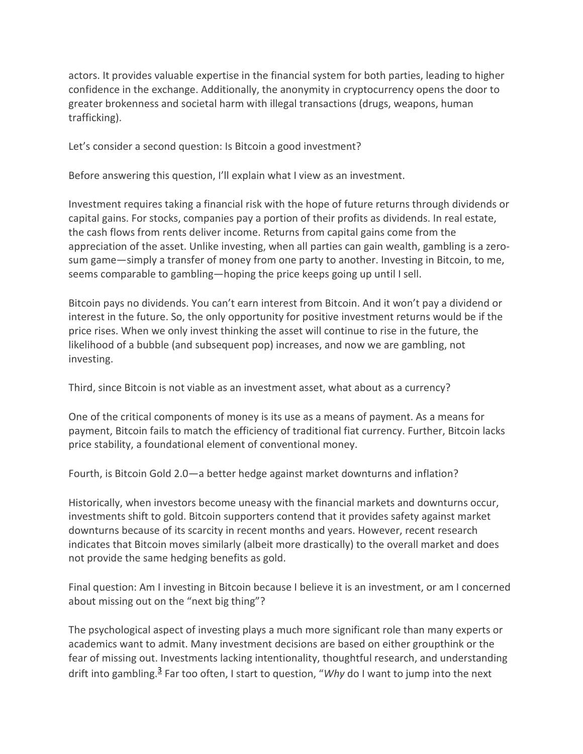actors. It provides valuable expertise in the financial system for both parties, leading to higher confidence in the exchange. Additionally, the anonymity in cryptocurrency opens the door to greater brokenness and societal harm with illegal transactions (drugs, weapons, human trafficking).

Let's consider a second question: Is Bitcoin a good investment?

Before answering this question, I'll explain what I view as an investment.

Investment requires taking a financial risk with the hope of future returns through dividends or capital gains. For stocks, companies pay a portion of their profits as dividends. In real estate, the cash flows from rents deliver income. Returns from capital gains come from the appreciation of the asset. Unlike investing, when all parties can gain wealth, gambling is a zerosum game—simply a transfer of money from one party to another. Investing in Bitcoin, to me, seems comparable to gambling—hoping the price keeps going up until I sell.

Bitcoin pays no dividends. You can't earn interest from Bitcoin. And it won't pay a dividend or interest in the future. So, the only opportunity for positive investment returns would be if the price rises. When we only invest thinking the asset will continue to rise in the future, the likelihood of a bubble (and subsequent pop) increases, and now we are gambling, not investing.

Third, since Bitcoin is not viable as an investment asset, what about as a currency?

One of the critical components of money is its use as a means of payment. As a means for payment, Bitcoin fails to match the efficiency of traditional fiat currency. Further, Bitcoin lacks price stability, a foundational element of conventional money.

Fourth, is Bitcoin Gold 2.0—a better hedge against market downturns and inflation?

Historically, when investors become uneasy with the financial markets and downturns occur, investments shift to gold. Bitcoin supporters contend that it provides safety against market downturns because of its scarcity in recent months and years. However, recent research indicates that Bitcoin moves similarly (albeit more drastically) to the overall market and does not provide the same hedging benefits as gold.

Final question: Am I investing in Bitcoin because I believe it is an investment, or am I concerned about missing out on the "next big thing"?

The psychological aspect of investing plays a much more significant role than many experts or academics want to admit. Many investment decisions are based on either groupthink or the fear of missing out. Investments lacking intentionality, thoughtful research, and understanding drift into gambling.<sup>3</sup> Far too often, I start to question, "Why do I want to jump into the next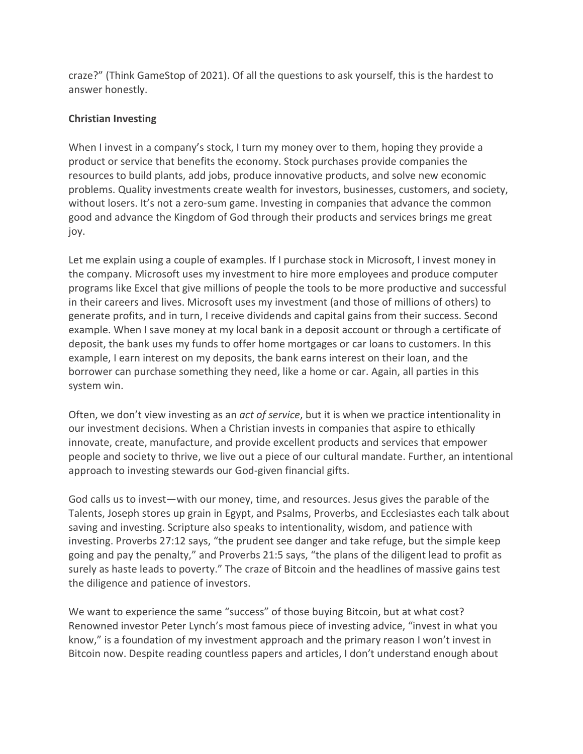craze?" (Think GameStop of 2021). Of all the questions to ask yourself, this is the hardest to answer honestly.

### **Christian Investing**

When I invest in a company's stock, I turn my money over to them, hoping they provide a product or service that benefits the economy. Stock purchases provide companies the resources to build plants, add jobs, produce innovative products, and solve new economic problems. Quality investments create wealth for investors, businesses, customers, and society, without losers. It's not a zero-sum game. Investing in companies that advance the common good and advance the Kingdom of God through their products and services brings me great joy.

Let me explain using a couple of examples. If I purchase stock in Microsoft, I invest money in the company. Microsoft uses my investment to hire more employees and produce computer programs like Excel that give millions of people the tools to be more productive and successful in their careers and lives. Microsoft uses my investment (and those of millions of others) to generate profits, and in turn, I receive dividends and capital gains from their success. Second example. When I save money at my local bank in a deposit account or through a certificate of deposit, the bank uses my funds to offer home mortgages or car loans to customers. In this example, I earn interest on my deposits, the bank earns interest on their loan, and the borrower can purchase something they need, like a home or car. Again, all parties in this system win.

Often, we don't view investing as an *act of service*, but it is when we practice intentionality in our investment decisions. When a Christian invests in companies that aspire to ethically innovate, create, manufacture, and provide excellent products and services that empower people and society to thrive, we live out a piece of our cultural mandate. Further, an intentional approach to investing stewards our God-given financial gifts.

God calls us to invest—with our money, time, and resources. Jesus gives the parable of the Talents, Joseph stores up grain in Egypt, and Psalms, Proverbs, and Ecclesiastes each talk about saving and investing. Scripture also speaks to intentionality, wisdom, and patience with investing. Proverbs 27:12 says, "the prudent see danger and take refuge, but the simple keep going and pay the penalty," and Proverbs 21:5 says, "the plans of the diligent lead to profit as surely as haste leads to poverty." The craze of Bitcoin and the headlines of massive gains test the diligence and patience of investors.

We want to experience the same "success" of those buying Bitcoin, but at what cost? Renowned investor Peter Lynch's most famous piece of investing advice, "invest in what you know," is a foundation of my investment approach and the primary reason I won't invest in Bitcoin now. Despite reading countless papers and articles, I don't understand enough about